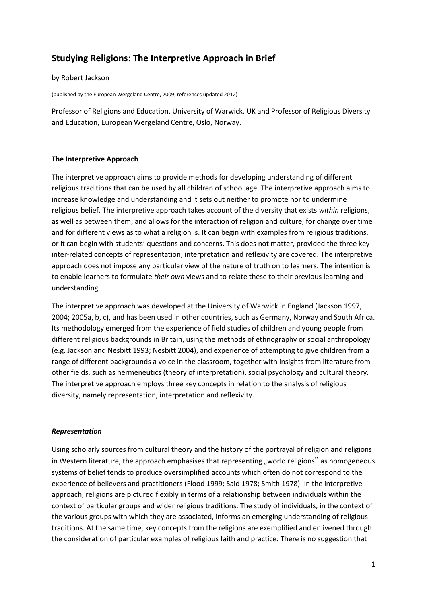# **Studying Religions: The Interpretive Approach in Brief**

#### by Robert Jackson

(published by the European Wergeland Centre, 2009; references updated 2012)

Professor of Religions and Education, University of Warwick, UK and Professor of Religious Diversity and Education, European Wergeland Centre, Oslo, Norway.

# **The Interpretive Approach**

The interpretive approach aims to provide methods for developing understanding of different religious traditions that can be used by all children of school age. The interpretive approach aims to increase knowledge and understanding and it sets out neither to promote nor to undermine religious belief. The interpretive approach takes account of the diversity that exists *within* religions, as well as between them, and allows for the interaction of religion and culture, for change over time and for different views as to what a religion is. It can begin with examples from religious traditions, or it can begin with students' questions and concerns. This does not matter, provided the three key inter-related concepts of representation, interpretation and reflexivity are covered. The interpretive approach does not impose any particular view of the nature of truth on to learners. The intention is to enable learners to formulate *their own* views and to relate these to their previous learning and understanding.

The interpretive approach was developed at the University of Warwick in England (Jackson 1997, 2004; 2005a, b, c), and has been used in other countries, such as Germany, Norway and South Africa. Its methodology emerged from the experience of field studies of children and young people from different religious backgrounds in Britain, using the methods of ethnography or social anthropology (e.g. Jackson and Nesbitt 1993; Nesbitt 2004), and experience of attempting to give children from a range of different backgrounds a voice in the classroom, together with insights from literature from other fields, such as hermeneutics (theory of interpretation), social psychology and cultural theory. The interpretive approach employs three key concepts in relation to the analysis of religious diversity, namely representation, interpretation and reflexivity.

# *Representation*

Using scholarly sources from cultural theory and the history of the portrayal of religion and religions in Western literature, the approach emphasises that representing "world religions" as homogeneous systems of belief tends to produce oversimplified accounts which often do not correspond to the experience of believers and practitioners (Flood 1999; Said 1978; Smith 1978). In the interpretive approach, religions are pictured flexibly in terms of a relationship between individuals within the context of particular groups and wider religious traditions. The study of individuals, in the context of the various groups with which they are associated, informs an emerging understanding of religious traditions. At the same time, key concepts from the religions are exemplified and enlivened through the consideration of particular examples of religious faith and practice. There is no suggestion that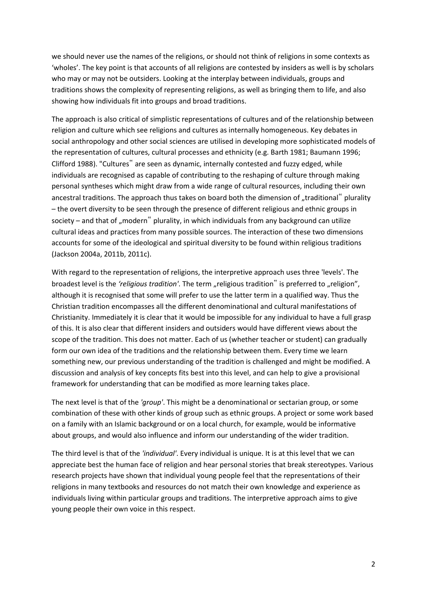we should never use the names of the religions, or should not think of religions in some contexts as 'wholes'. The key point is that accounts of all religions are contested by insiders as well is by scholars who may or may not be outsiders. Looking at the interplay between individuals, groups and traditions shows the complexity of representing religions, as well as bringing them to life, and also showing how individuals fit into groups and broad traditions.

The approach is also critical of simplistic representations of cultures and of the relationship between religion and culture which see religions and cultures as internally homogeneous. Key debates in social anthropology and other social sciences are utilised in developing more sophisticated models of the representation of cultures, cultural processes and ethnicity (e.g. Barth 1981; Baumann 1996; Clifford 1988). "Cultures" are seen as dynamic, internally contested and fuzzy edged, while individuals are recognised as capable of contributing to the reshaping of culture through making personal syntheses which might draw from a wide range of cultural resources, including their own ancestral traditions. The approach thus takes on board both the dimension of "traditional" plurality – the overt diversity to be seen through the presence of different religious and ethnic groups in society – and that of "modern" plurality, in which individuals from any background can utilize cultural ideas and practices from many possible sources. The interaction of these two dimensions accounts for some of the ideological and spiritual diversity to be found within religious traditions (Jackson 2004a, 2011b, 2011c).

With regard to the representation of religions, the interpretive approach uses three 'levels'. The broadest level is the *'religious tradition'*. The term "religious tradition" is preferred to "religion", although it is recognised that some will prefer to use the latter term in a qualified way. Thus the Christian tradition encompasses all the different denominational and cultural manifestations of Christianity. Immediately it is clear that it would be impossible for any individual to have a full grasp of this. It is also clear that different insiders and outsiders would have different views about the scope of the tradition. This does not matter. Each of us (whether teacher or student) can gradually form our own idea of the traditions and the relationship between them. Every time we learn something new, our previous understanding of the tradition is challenged and might be modified. A discussion and analysis of key concepts fits best into this level, and can help to give a provisional framework for understanding that can be modified as more learning takes place.

The next level is that of the *'group'*. This might be a denominational or sectarian group, or some combination of these with other kinds of group such as ethnic groups. A project or some work based on a family with an Islamic background or on a local church, for example, would be informative about groups, and would also influence and inform our understanding of the wider tradition.

The third level is that of the *'individual'*. Every individual is unique. It is at this level that we can appreciate best the human face of religion and hear personal stories that break stereotypes. Various research projects have shown that individual young people feel that the representations of their religions in many textbooks and resources do not match their own knowledge and experience as individuals living within particular groups and traditions. The interpretive approach aims to give young people their own voice in this respect.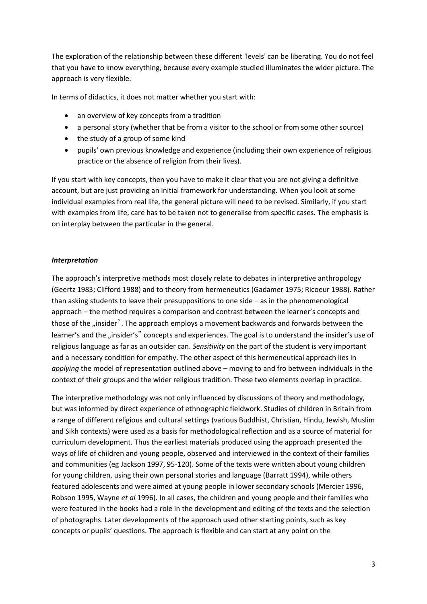The exploration of the relationship between these different 'levels' can be liberating. You do not feel that you have to know everything, because every example studied illuminates the wider picture. The approach is very flexible.

In terms of didactics, it does not matter whether you start with:

- an overview of key concepts from a tradition
- a personal story (whether that be from a visitor to the school or from some other source)
- the study of a group of some kind
- pupils' own previous knowledge and experience (including their own experience of religious practice or the absence of religion from their lives).

If you start with key concepts, then you have to make it clear that you are not giving a definitive account, but are just providing an initial framework for understanding. When you look at some individual examples from real life, the general picture will need to be revised. Similarly, if you start with examples from life, care has to be taken not to generalise from specific cases. The emphasis is on interplay between the particular in the general.

#### *Interpretation*

The approach's interpretive methods most closely relate to debates in interpretive anthropology (Geertz 1983; Clifford 1988) and to theory from hermeneutics (Gadamer 1975; Ricoeur 1988). Rather than asking students to leave their presuppositions to one side – as in the phenomenological approach – the method requires a comparison and contrast between the learner's concepts and those of the "insider". The approach employs a movement backwards and forwards between the learner's and the "insider's" concepts and experiences. The goal is to understand the insider's use of religious language as far as an outsider can. *Sensitivity* on the part of the student is very important and a necessary condition for empathy. The other aspect of this hermeneutical approach lies in *applying* the model of representation outlined above – moving to and fro between individuals in the context of their groups and the wider religious tradition. These two elements overlap in practice.

The interpretive methodology was not only influenced by discussions of theory and methodology, but was informed by direct experience of ethnographic fieldwork. Studies of children in Britain from a range of different religious and cultural settings (various Buddhist, Christian, Hindu, Jewish, Muslim and Sikh contexts) were used as a basis for methodological reflection and as a source of material for curriculum development. Thus the earliest materials produced using the approach presented the ways of life of children and young people, observed and interviewed in the context of their families and communities (eg Jackson 1997, 95-120). Some of the texts were written about young children for young children, using their own personal stories and language (Barratt 1994), while others featured adolescents and were aimed at young people in lower secondary schools (Mercier 1996, Robson 1995, Wayne *et al* 1996). In all cases, the children and young people and their families who were featured in the books had a role in the development and editing of the texts and the selection of photographs. Later developments of the approach used other starting points, such as key concepts or pupils' questions. The approach is flexible and can start at any point on the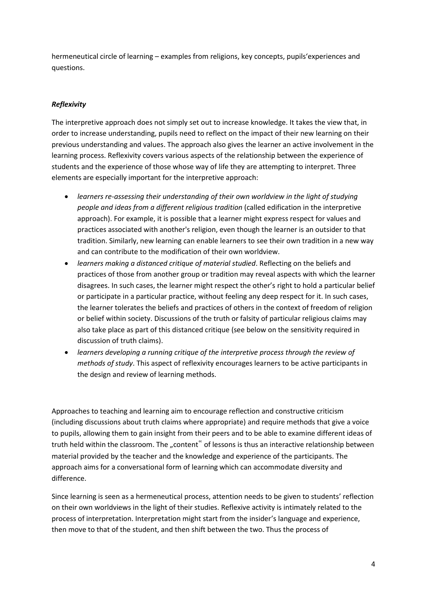hermeneutical circle of learning – examples from religions, key concepts, pupils'experiences and questions.

# *Reflexivity*

The interpretive approach does not simply set out to increase knowledge. It takes the view that, in order to increase understanding, pupils need to reflect on the impact of their new learning on their previous understanding and values. The approach also gives the learner an active involvement in the learning process. Reflexivity covers various aspects of the relationship between the experience of students and the experience of those whose way of life they are attempting to interpret. Three elements are especially important for the interpretive approach:

- *learners re-assessing their understanding of their own worldview in the light of studying people and ideas from a different religious tradition* (called edification in the interpretive approach). For example, it is possible that a learner might express respect for values and practices associated with another's religion, even though the learner is an outsider to that tradition. Similarly, new learning can enable learners to see their own tradition in a new way and can contribute to the modification of their own worldview.
- *learners making a distanced critique of material studied*. Reflecting on the beliefs and practices of those from another group or tradition may reveal aspects with which the learner disagrees. In such cases, the learner might respect the other's right to hold a particular belief or participate in a particular practice, without feeling any deep respect for it. In such cases, the learner tolerates the beliefs and practices of others in the context of freedom of religion or belief within society. Discussions of the truth or falsity of particular religious claims may also take place as part of this distanced critique (see below on the sensitivity required in discussion of truth claims).
- *learners developing a running critique of the interpretive process through the review of methods of study*. This aspect of reflexivity encourages learners to be active participants in the design and review of learning methods.

Approaches to teaching and learning aim to encourage reflection and constructive criticism (including discussions about truth claims where appropriate) and require methods that give a voice to pupils, allowing them to gain insight from their peers and to be able to examine different ideas of truth held within the classroom. The "content" of lessons is thus an interactive relationship between material provided by the teacher and the knowledge and experience of the participants. The approach aims for a conversational form of learning which can accommodate diversity and difference.

Since learning is seen as a hermeneutical process, attention needs to be given to students' reflection on their own worldviews in the light of their studies. Reflexive activity is intimately related to the process of interpretation. Interpretation might start from the insider's language and experience, then move to that of the student, and then shift between the two. Thus the process of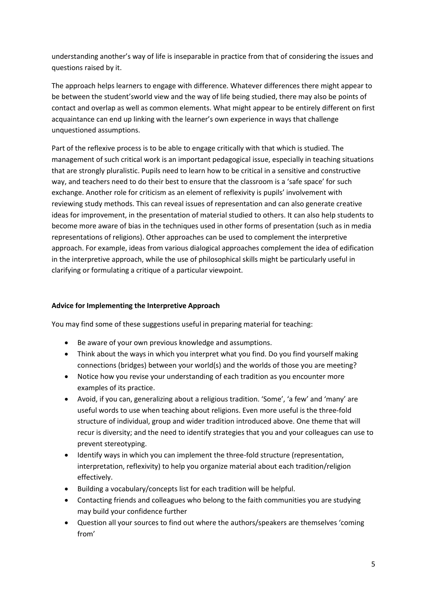understanding another's way of life is inseparable in practice from that of considering the issues and questions raised by it.

The approach helps learners to engage with difference. Whatever differences there might appear to be between the student'sworld view and the way of life being studied, there may also be points of contact and overlap as well as common elements. What might appear to be entirely different on first acquaintance can end up linking with the learner's own experience in ways that challenge unquestioned assumptions.

Part of the reflexive process is to be able to engage critically with that which is studied. The management of such critical work is an important pedagogical issue, especially in teaching situations that are strongly pluralistic. Pupils need to learn how to be critical in a sensitive and constructive way, and teachers need to do their best to ensure that the classroom is a 'safe space' for such exchange. Another role for criticism as an element of reflexivity is pupils' involvement with reviewing study methods. This can reveal issues of representation and can also generate creative ideas for improvement, in the presentation of material studied to others. It can also help students to become more aware of bias in the techniques used in other forms of presentation (such as in media representations of religions). Other approaches can be used to complement the interpretive approach. For example, ideas from various dialogical approaches complement the idea of edification in the interpretive approach, while the use of philosophical skills might be particularly useful in clarifying or formulating a critique of a particular viewpoint.

# **Advice for Implementing the Interpretive Approach**

You may find some of these suggestions useful in preparing material for teaching:

- Be aware of your own previous knowledge and assumptions.
- Think about the ways in which you interpret what you find. Do you find yourself making connections (bridges) between your world(s) and the worlds of those you are meeting?
- Notice how you revise your understanding of each tradition as you encounter more examples of its practice.
- Avoid, if you can, generalizing about a religious tradition. 'Some', 'a few' and 'many' are useful words to use when teaching about religions. Even more useful is the three-fold structure of individual, group and wider tradition introduced above. One theme that will recur is diversity; and the need to identify strategies that you and your colleagues can use to prevent stereotyping.
- Identify ways in which you can implement the three-fold structure (representation, interpretation, reflexivity) to help you organize material about each tradition/religion effectively.
- Building a vocabulary/concepts list for each tradition will be helpful.
- Contacting friends and colleagues who belong to the faith communities you are studying may build your confidence further
- Question all your sources to find out where the authors/speakers are themselves 'coming from'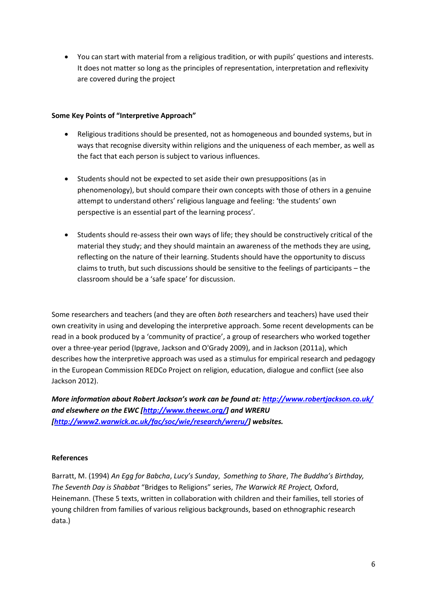You can start with material from a religious tradition, or with pupils' questions and interests. It does not matter so long as the principles of representation, interpretation and reflexivity are covered during the project

### **Some Key Points of "Interpretive Approach"**

- Religious traditions should be presented, not as homogeneous and bounded systems, but in ways that recognise diversity within religions and the uniqueness of each member, as well as the fact that each person is subject to various influences.
- Students should not be expected to set aside their own presuppositions (as in phenomenology), but should compare their own concepts with those of others in a genuine attempt to understand others' religious language and feeling: 'the students' own perspective is an essential part of the learning process'.
- Students should re-assess their own ways of life; they should be constructively critical of the material they study; and they should maintain an awareness of the methods they are using, reflecting on the nature of their learning. Students should have the opportunity to discuss claims to truth, but such discussions should be sensitive to the feelings of participants – the classroom should be a 'safe space' for discussion.

Some researchers and teachers (and they are often *both* researchers and teachers) have used their own creativity in using and developing the interpretive approach. Some recent developments can be read in a book produced by a 'community of practice', a group of researchers who worked together over a three-year period (Ipgrave, Jackson and O'Grady 2009), and in Jackson (2011a), which describes how the interpretive approach was used as a stimulus for empirical research and pedagogy in the European Commission REDCo Project on religion, education, dialogue and conflict (see also Jackson 2012).

*More information about Robert Jackson's work can be found at: <http://www.robertjackson.co.uk/> and elsewhere on the EWC [\[http://www.theewc.org/\]](http://www.theewc.org/) and WRERU [\[http://www2.warwick.ac.uk/fac/soc/wie/research/wreru/\]](http://www2.warwick.ac.uk/fac/soc/wie/research/wreru/) websites.*

# **References**

Barratt, M. (1994) *An Egg for Babcha*, *Lucy's Sunday*, *Something to Share*, *The Buddha's Birthday, The Seventh Day is Shabbat* "Bridges to Religions" series, *The Warwick RE Project,* Oxford, Heinemann. (These 5 texts, written in collaboration with children and their families, tell stories of young children from families of various religious backgrounds, based on ethnographic research data.)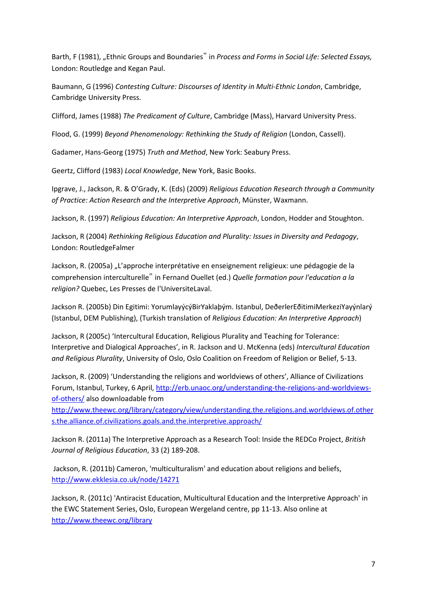Barth, F (1981), "Ethnic Groups and Boundaries" in *Process and Forms in Social Life: Selected Essays*, London: Routledge and Kegan Paul.

Baumann, G (1996) *Contesting Culture: Discourses of Identity in Multi-Ethnic London*, Cambridge, Cambridge University Press.

Clifford, James (1988) *The Predicament of Culture*, Cambridge (Mass), Harvard University Press.

Flood, G. (1999) *Beyond Phenomenology: Rethinking the Study of Religion* (London, Cassell).

Gadamer, Hans-Georg (1975) *Truth and Method*, New York: Seabury Press.

Geertz, Clifford (1983) *Local Knowledge*, New York, Basic Books.

Ipgrave, J., Jackson, R. & O'Grady, K. (Eds) (2009) *Religious Education Research through a Community of Practice: Action Research and the Interpretive Approach*, Münster, Waxmann.

Jackson, R. (1997) *Religious Education: An Interpretive Approach*, London, Hodder and Stoughton.

Jackson, R (2004) *Rethinking Religious Education and Plurality: Issues in Diversity and Pedagogy*, London: RoutledgeFalmer

Jackson, R. (2005a) "L'approche interprétative en enseignement religieux: une pédagogie de la comprehension interculturelle" in Fernand Ouellet (ed.) *Quelle formation pour l'education a la religion?* Quebec, Les Presses de l'UniversiteLaval.

Jackson R. (2005b) Din Egitimi: YorumlayýcýBirYaklaþým. Istanbul, DeðerlerEðitimiMerkeziYayýnlarý (Istanbul, DEM Publishing), (Turkish translation of *Religious Education: An Interpretive Approach*)

Jackson, R (2005c) 'Intercultural Education, Religious Plurality and Teaching for Tolerance: Interpretive and Dialogical Approaches', in R. Jackson and U. McKenna (eds) *Intercultural Education and Religious Plurality*, University of Oslo, Oslo Coalition on Freedom of Religion or Belief, 5-13.

Jackson, R. (2009) 'Understanding the religions and worldviews of others', Alliance of Civilizations Forum, Istanbul, Turkey, 6 April[, http://erb.unaoc.org/understanding-the-religions-and-worldviews](http://erb.unaoc.org/understanding-the-religions-and-worldviews-of-others/)[of-others/](http://erb.unaoc.org/understanding-the-religions-and-worldviews-of-others/) also downloadable from

[http://www.theewc.org/library/category/view/understanding.the.religions.and.worldviews.of.other](http://www.theewc.org/library/category/view/understanding.the.religions.and.worldviews.of.others.the.alliance.of.civilizations.goals.and.the.interpretive.approach/) [s.the.alliance.of.civilizations.goals.and.the.interpretive.approach/](http://www.theewc.org/library/category/view/understanding.the.religions.and.worldviews.of.others.the.alliance.of.civilizations.goals.and.the.interpretive.approach/)

Jackson R. (2011a) The Interpretive Approach as a Research Tool: Inside the REDCo Project, *British Journal of Religious Education*, 33 (2) 189-208.

Jackson, R. (2011b) Cameron, 'multiculturalism' and education about religions and beliefs, <http://www.ekklesia.co.uk/node/14271>

Jackson, R. (2011c) 'Antiracist Education, Multicultural Education and the Interpretive Approach' in the EWC Statement Series, Oslo, European Wergeland centre, pp 11-13. Also online at <http://www.theewc.org/library>